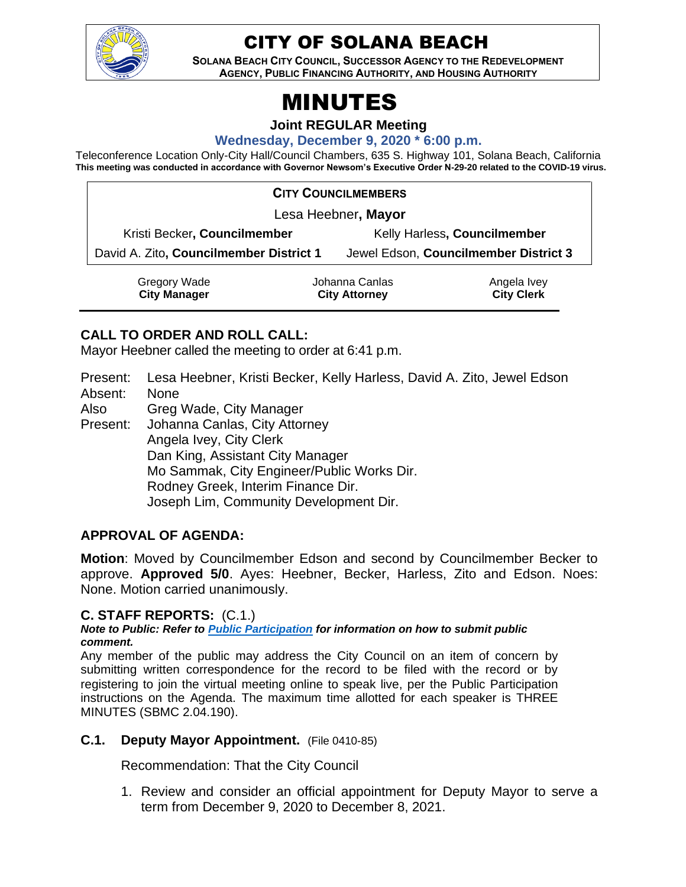

# CITY OF SOLANA BEACH

**SOLANA BEACH CITY COUNCIL, SUCCESSOR AGENCY TO THE REDEVELOPMENT AGENCY, PUBLIC FINANCING AUTHORITY, AND HOUSING AUTHORITY** 

# MINUTES

## **Joint REGULAR Meeting**

#### **Wednesday, December 9, 2020 \* 6:00 p.m.**

Teleconference Location Only-City Hall/Council Chambers, 635 S. Highway 101, Solana Beach, California **This meeting was conducted in accordance with Governor Newsom's Executive Order N-29-20 related to the COVID-19 virus.**

# **CITY COUNCILMEMBERS**

Lesa Heebner**, Mayor**

Kristi Becker**, Councilmember** Kelly Harless**, Councilmember**

David A. Zito**, Councilmember District 1** Jewel Edson, **Councilmember District 3**

| Gregory Wade        | Johanna Canlas       | Angela Ivey       |
|---------------------|----------------------|-------------------|
| <b>City Manager</b> | <b>City Attorney</b> | <b>City Clerk</b> |

# **CALL TO ORDER AND ROLL CALL:**

Mayor Heebner called the meeting to order at 6:41 p.m.

Present: Lesa Heebner, Kristi Becker, Kelly Harless, David A. Zito, Jewel Edson Absent: None

Also Greg Wade, City Manager

Present: Johanna Canlas, City Attorney Angela Ivey, City Clerk Dan King, Assistant City Manager Mo Sammak, City Engineer/Public Works Dir. Rodney Greek, Interim Finance Dir. Joseph Lim, Community Development Dir.

# **APPROVAL OF AGENDA:**

**Motion**: Moved by Councilmember Edson and second by Councilmember Becker to approve. **Approved 5/0**. Ayes: Heebner, Becker, Harless, Zito and Edson. Noes: None. Motion carried unanimously.

# **C. STAFF REPORTS:** (C.1.)

*Note to Public: Refer to Public Participation for information on how to submit public comment.* 

Any member of the public may address the City Council on an item of concern by submitting written correspondence for the record to be filed with the record or by registering to join the virtual meeting online to speak live, per the Public Participation instructions on the Agenda. The maximum time allotted for each speaker is THREE MINUTES (SBMC 2.04.190).

#### **C.1. Deputy Mayor Appointment.** (File 0410-85)

Recommendation: That the City Council

1. Review and consider an official appointment for Deputy Mayor to serve a term from December 9, 2020 to December 8, 2021.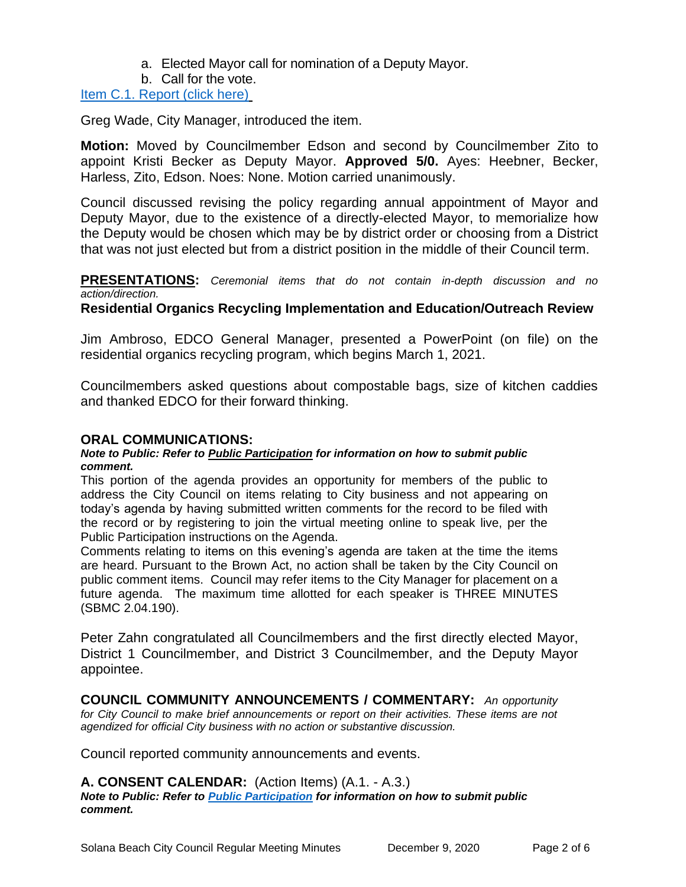- a. Elected Mayor call for nomination of a Deputy Mayor.
- b. Call for the vote.

[Item C.1. Report \(click here\)](https://solanabeach.govoffice3.com/vertical/Sites/%7B840804C2-F869-4904-9AE3-720581350CE7%7D/uploads/Item_C.1._Report_(click_here)_12-09-20_-_O.pdf)

Greg Wade, City Manager, introduced the item.

**Motion:** Moved by Councilmember Edson and second by Councilmember Zito to appoint Kristi Becker as Deputy Mayor. **Approved 5/0.** Ayes: Heebner, Becker, Harless, Zito, Edson. Noes: None. Motion carried unanimously.

Council discussed revising the policy regarding annual appointment of Mayor and Deputy Mayor, due to the existence of a directly-elected Mayor, to memorialize how the Deputy would be chosen which may be by district order or choosing from a District that was not just elected but from a district position in the middle of their Council term.

**PRESENTATIONS:** *Ceremonial items that do not contain in-depth discussion and no action/direction.*

# **Residential Organics Recycling Implementation and Education/Outreach Review**

Jim Ambroso, EDCO General Manager, presented a PowerPoint (on file) on the residential organics recycling program, which begins March 1, 2021.

Councilmembers asked questions about compostable bags, size of kitchen caddies and thanked EDCO for their forward thinking.

# **ORAL COMMUNICATIONS:**

#### *Note to Public: Refer to Public Participation for information on how to submit public comment.*

This portion of the agenda provides an opportunity for members of the public to address the City Council on items relating to City business and not appearing on today's agenda by having submitted written comments for the record to be filed with the record or by registering to join the virtual meeting online to speak live, per the Public Participation instructions on the Agenda.

Comments relating to items on this evening's agenda are taken at the time the items are heard. Pursuant to the Brown Act, no action shall be taken by the City Council on public comment items. Council may refer items to the City Manager for placement on a future agenda. The maximum time allotted for each speaker is THREE MINUTES (SBMC 2.04.190).

Peter Zahn congratulated all Councilmembers and the first directly elected Mayor, District 1 Councilmember, and District 3 Councilmember, and the Deputy Mayor appointee.

**COUNCIL COMMUNITY ANNOUNCEMENTS / COMMENTARY:** *An opportunity for City Council to make brief announcements or report on their activities. These items are not agendized for official City business with no action or substantive discussion.* 

Council reported community announcements and events.

# **A. CONSENT CALENDAR:** (Action Items) (A.1. - A.3.)

*Note to Public: Refer to Public Participation for information on how to submit public comment.*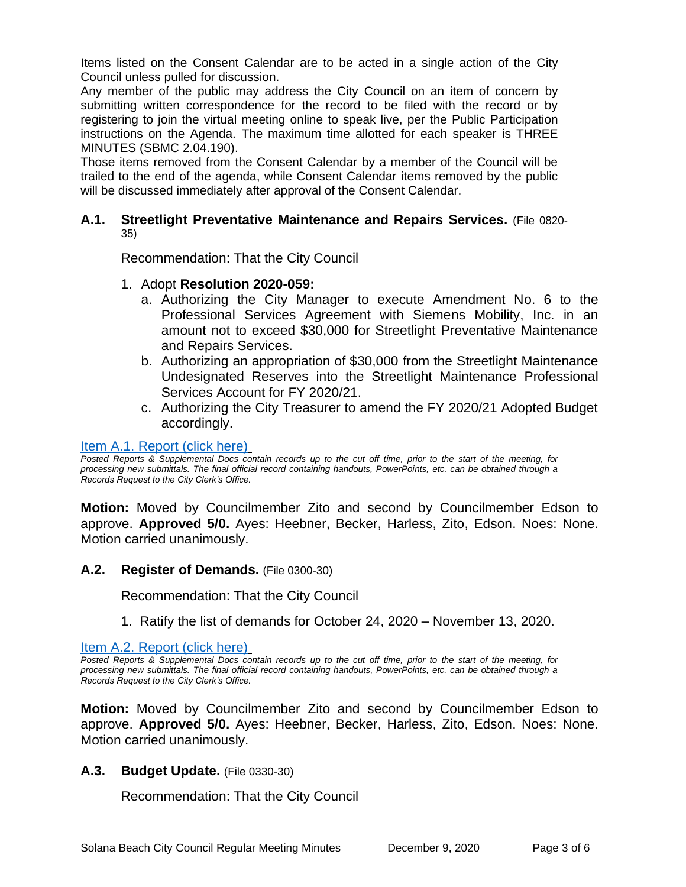Items listed on the Consent Calendar are to be acted in a single action of the City Council unless pulled for discussion.

Any member of the public may address the City Council on an item of concern by submitting written correspondence for the record to be filed with the record or by registering to join the virtual meeting online to speak live, per the Public Participation instructions on the Agenda. The maximum time allotted for each speaker is THREE MINUTES (SBMC 2.04.190).

Those items removed from the Consent Calendar by a member of the Council will be trailed to the end of the agenda, while Consent Calendar items removed by the public will be discussed immediately after approval of the Consent Calendar.

#### **A.1. Streetlight Preventative Maintenance and Repairs Services.** (File 0820- 35)

Recommendation: That the City Council

#### 1. Adopt **Resolution 2020-059:**

- a. Authorizing the City Manager to execute Amendment No. 6 to the Professional Services Agreement with Siemens Mobility, Inc. in an amount not to exceed \$30,000 for Streetlight Preventative Maintenance and Repairs Services.
- b. Authorizing an appropriation of \$30,000 from the Streetlight Maintenance Undesignated Reserves into the Streetlight Maintenance Professional Services Account for FY 2020/21.
- c. Authorizing the City Treasurer to amend the FY 2020/21 Adopted Budget accordingly.

#### [Item A.1. Report \(click here\)](https://solanabeach.govoffice3.com/vertical/Sites/%7B840804C2-F869-4904-9AE3-720581350CE7%7D/uploads/Item_A.1._Report_(click_here)_12-09-20_-_O.pdf)

*Posted Reports & Supplemental Docs contain records up to the cut off time, prior to the start of the meeting, for processing new submittals. The final official record containing handouts, PowerPoints, etc. can be obtained through a Records Request to the City Clerk's Office.*

**Motion:** Moved by Councilmember Zito and second by Councilmember Edson to approve. **Approved 5/0.** Ayes: Heebner, Becker, Harless, Zito, Edson. Noes: None. Motion carried unanimously.

#### **A.2. Register of Demands.** (File 0300-30)

Recommendation: That the City Council

1. Ratify the list of demands for October 24, 2020 – November 13, 2020.

[Item A.2. Report \(click here\)](https://solanabeach.govoffice3.com/vertical/Sites/%7B840804C2-F869-4904-9AE3-720581350CE7%7D/uploads/Item_A.2._Report_(click_here)_12-09-20_-_O.pdf)

*Posted Reports & Supplemental Docs contain records up to the cut off time, prior to the start of the meeting, for processing new submittals. The final official record containing handouts, PowerPoints, etc. can be obtained through a Records Request to the City Clerk's Office.*

**Motion:** Moved by Councilmember Zito and second by Councilmember Edson to approve. **Approved 5/0.** Ayes: Heebner, Becker, Harless, Zito, Edson. Noes: None. Motion carried unanimously.

#### **A.3. Budget Update.** (File 0330-30)

Recommendation: That the City Council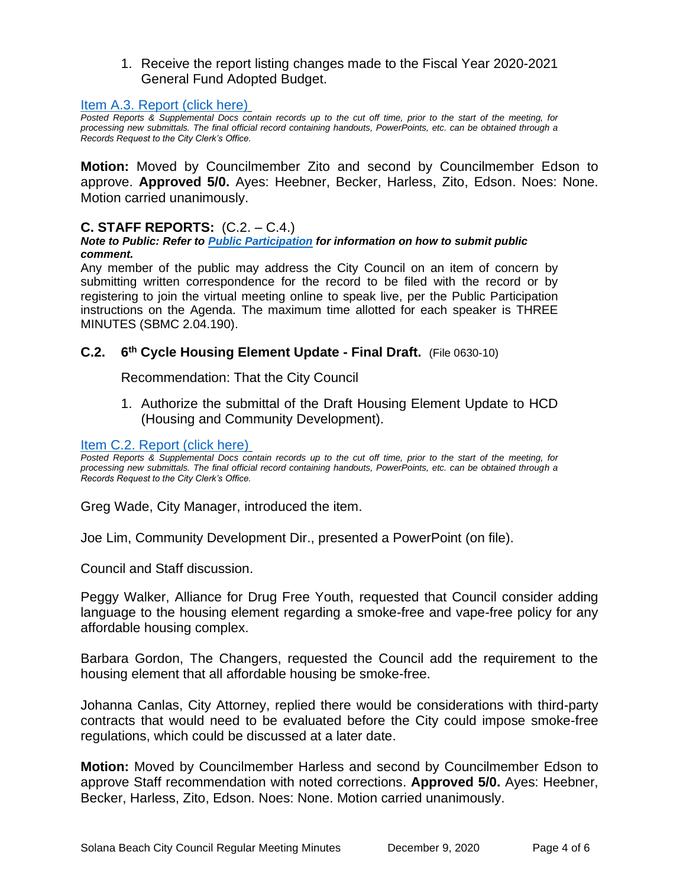1. Receive the report listing changes made to the Fiscal Year 2020-2021 General Fund Adopted Budget.

#### [Item A.3. Report \(click here\)](https://solanabeach.govoffice3.com/vertical/Sites/%7B840804C2-F869-4904-9AE3-720581350CE7%7D/uploads/Item_A.3._Report_(click_here)_12-09-20_-_O.pdf)

*Posted Reports & Supplemental Docs contain records up to the cut off time, prior to the start of the meeting, for processing new submittals. The final official record containing handouts, PowerPoints, etc. can be obtained through a Records Request to the City Clerk's Office.*

**Motion:** Moved by Councilmember Zito and second by Councilmember Edson to approve. **Approved 5/0.** Ayes: Heebner, Becker, Harless, Zito, Edson. Noes: None. Motion carried unanimously.

## **C. STAFF REPORTS:** (C.2. – C.4.)

#### *Note to Public: Refer to Public Participation for information on how to submit public comment.*

Any member of the public may address the City Council on an item of concern by submitting written correspondence for the record to be filed with the record or by registering to join the virtual meeting online to speak live, per the Public Participation instructions on the Agenda. The maximum time allotted for each speaker is THREE MINUTES (SBMC 2.04.190).

#### **C.2. 6 th Cycle Housing Element Update - Final Draft.** (File 0630-10)

Recommendation: That the City Council

1. Authorize the submittal of the Draft Housing Element Update to HCD (Housing and Community Development).

#### Item [C.2. Report \(click here\)](https://solanabeach.govoffice3.com/vertical/Sites/%7B840804C2-F869-4904-9AE3-720581350CE7%7D/uploads/Item_C.2._Report_(click_here)_12-09-20_-_O.pdf)

*Posted Reports & Supplemental Docs contain records up to the cut off time, prior to the start of the meeting, for processing new submittals. The final official record containing handouts, PowerPoints, etc. can be obtained through a Records Request to the City Clerk's Office.*

Greg Wade, City Manager, introduced the item.

Joe Lim, Community Development Dir., presented a PowerPoint (on file).

Council and Staff discussion.

Peggy Walker, Alliance for Drug Free Youth, requested that Council consider adding language to the housing element regarding a smoke-free and vape-free policy for any affordable housing complex.

Barbara Gordon, The Changers, requested the Council add the requirement to the housing element that all affordable housing be smoke-free.

Johanna Canlas, City Attorney, replied there would be considerations with third-party contracts that would need to be evaluated before the City could impose smoke-free regulations, which could be discussed at a later date.

**Motion:** Moved by Councilmember Harless and second by Councilmember Edson to approve Staff recommendation with noted corrections. **Approved 5/0.** Ayes: Heebner, Becker, Harless, Zito, Edson. Noes: None. Motion carried unanimously.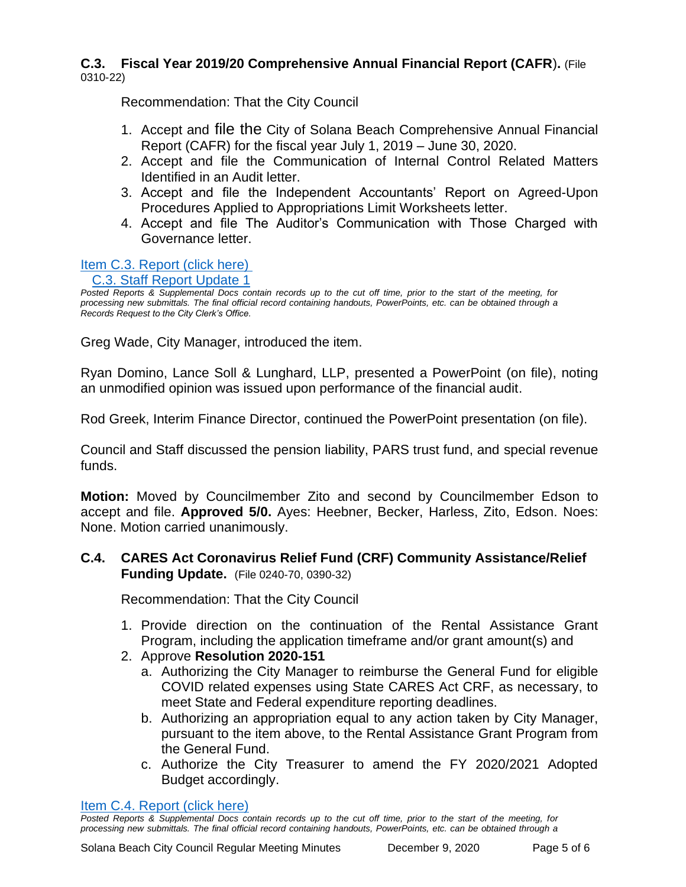#### **C.3. Fiscal Year 2019/20 Comprehensive Annual Financial Report (CAFR**)**.** (File 0310-22)

Recommendation: That the City Council

- 1. Accept and file the City of Solana Beach Comprehensive Annual Financial Report (CAFR) for the fiscal year July 1, 2019 – June 30, 2020.
- 2. Accept and file the Communication of Internal Control Related Matters Identified in an Audit letter.
- 3. Accept and file the Independent Accountants' Report on Agreed-Upon Procedures Applied to Appropriations Limit Worksheets letter.
- 4. Accept and file The Auditor's Communication with Those Charged with Governance letter.

# [Item C.3. Report](https://solanabeach.govoffice3.com/vertical/Sites/%7B840804C2-F869-4904-9AE3-720581350CE7%7D/uploads/Item_C.3._Report_(click_here)_12-09-20_-_O(1).pdf) (click here)

# [C.3. Staff Report Update 1](https://solanabeach.govoffice3.com/vertical/Sites/%7B840804C2-F869-4904-9AE3-720581350CE7%7D/uploads/C.3_Staff_Report_Update_1_-_O.pdf)

*Posted Reports & Supplemental Docs contain records up to the cut off time, prior to the start of the meeting, for processing new submittals. The final official record containing handouts, PowerPoints, etc. can be obtained through a Records Request to the City Clerk's Office.*

Greg Wade, City Manager, introduced the item.

Ryan Domino, Lance Soll & Lunghard, LLP, presented a PowerPoint (on file), noting an unmodified opinion was issued upon performance of the financial audit.

Rod Greek, Interim Finance Director, continued the PowerPoint presentation (on file).

Council and Staff discussed the pension liability, PARS trust fund, and special revenue funds.

**Motion:** Moved by Councilmember Zito and second by Councilmember Edson to accept and file. **Approved 5/0.** Ayes: Heebner, Becker, Harless, Zito, Edson. Noes: None. Motion carried unanimously.

# **C.4. CARES Act Coronavirus Relief Fund (CRF) Community Assistance/Relief Funding Update.** (File 0240-70, 0390-32)

Recommendation: That the City Council

- 1. Provide direction on the continuation of the Rental Assistance Grant Program, including the application timeframe and/or grant amount(s) and
- 2. Approve **Resolution 2020-151**
	- a. Authorizing the City Manager to reimburse the General Fund for eligible COVID related expenses using State CARES Act CRF, as necessary, to meet State and Federal expenditure reporting deadlines.
	- b. Authorizing an appropriation equal to any action taken by City Manager, pursuant to the item above, to the Rental Assistance Grant Program from the General Fund.
	- c. Authorize the City Treasurer to amend the FY 2020/2021 Adopted Budget accordingly.

[Item C.4. Report](https://solanabeach.govoffice3.com/vertical/Sites/%7B840804C2-F869-4904-9AE3-720581350CE7%7D/uploads/Item_C.4._Report_(click_here)_12-09-20_-_O.pdf) (click here)

*Posted Reports & Supplemental Docs contain records up to the cut off time, prior to the start of the meeting, for processing new submittals. The final official record containing handouts, PowerPoints, etc. can be obtained through a*